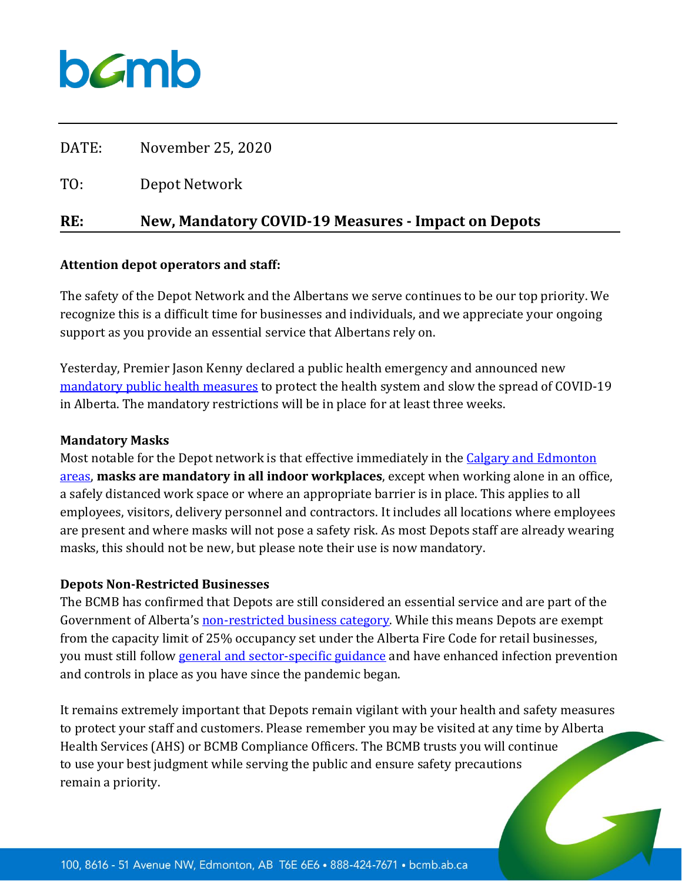## bamb

| RE:   | <b>New, Mandatory COVID-19 Measures - Impact on Depots</b> |
|-------|------------------------------------------------------------|
| TO:   | Depot Network                                              |
| DATE: | November 25, 2020                                          |

#### **Attention depot operators and staff:**

The safety of the Depot Network and the Albertans we serve continues to be our top priority. We recognize this is a difficult time for businesses and individuals, and we appreciate your ongoing support as you provide an essential service that Albertans rely on.

Yesterday, Premier Jason Kenny declared a public health emergency and announced new [mandatory public health measures](https://www.alberta.ca/enhanced-public-health-measures.aspx) to protect the health system and slow the spread of COVID-19 in Alberta. The mandatory restrictions will be in place for at least three weeks.

#### **Mandatory Masks**

Most notable for the Depot network is that effective immediately in the Calgary and Edmonton [areas,](https://www.alberta.ca/enhanced-public-health-measures.aspx#calgary) **masks are mandatory in all indoor workplaces**, except when working alone in an office, a safely distanced work space or where an appropriate barrier is in place. This applies to all employees, visitors, delivery personnel and contractors. It includes all locations where employees are present and where masks will not pose a safety risk. As most Depots staff are already wearing masks, this should not be new, but please note their use is now mandatory.

#### **Depots Non-Restricted Businesses**

The BCMB has confirmed that Depots are still considered an essential service and are part of the Government of Alberta's [non-restricted business category.](https://www.alberta.ca/restricted-and-non-restricted-services.aspx) While this means Depots are exempt from the capacity limit of 25% occupancy set under the Alberta Fire Code for retail businesses, you must still follow [general and sector-specific guidance](https://www.alberta.ca/guidance-documents.aspx#toc-2) and have enhanced infection prevention and controls in place as you have since the pandemic began.

It remains extremely important that Depots remain vigilant with your health and safety measures to protect your staff and customers. Please remember you may be visited at any time by Alberta Health Services (AHS) or BCMB Compliance Officers. The BCMB trusts you will continue to use your best judgment while serving the public and ensure safety precautions remain a priority.